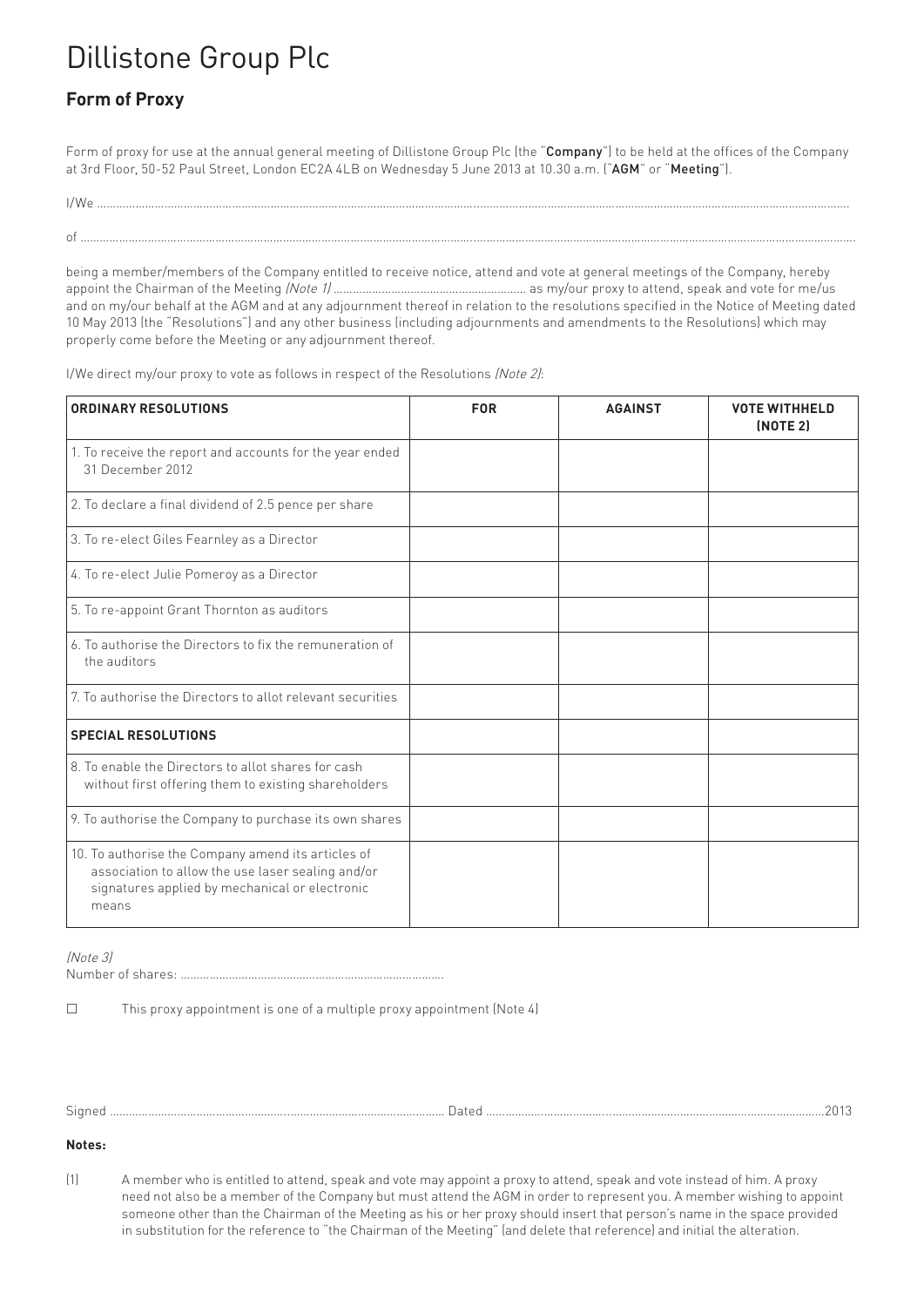## Dillistone Group Plc

## **Form of Proxy**

Form of proxy for use at the annual general meeting of Dillistone Group Plc (the "Company") to be held at the offices of the Company at 3rd Floor, 50-52 Paul Street, London EC2A 4LB on Wednesday 5 June 2013 at 10.30 a.m. ("AGM" or "Meeting").

being a member/members of the Company entitled to receive notice, attend and vote at general meetings of the Company, hereby appoint the Chairman of the Meeting *(Note 1)* ……………………………………………………… as my/our proxy to attend, speak and vote for me/us and on my/our behalf at the AGM and at any adjournment thereof in relation to the resolutions specified in the Notice of Meeting dated 10 May 2013 (the "Resolutions") and any other business (including adjournments and amendments to the Resolutions) which may properly come before the Meeting or any adjournment thereof.

I/We direct my/our proxy to vote as follows in respect of the Resolutions (Note 2):

of …………………………………………………………………………….……………………………..……………………………………………………………………………………………………….

| <b>ORDINARY RESOLUTIONS</b>                                                                                                                                        | <b>FOR</b> | <b>AGAINST</b> | <b>VOTE WITHHELD</b><br><b>(NOTE 2)</b> |
|--------------------------------------------------------------------------------------------------------------------------------------------------------------------|------------|----------------|-----------------------------------------|
| 1. To receive the report and accounts for the year ended<br>31 December 2012                                                                                       |            |                |                                         |
| 2. To declare a final dividend of 2.5 pence per share                                                                                                              |            |                |                                         |
| 3. To re-elect Giles Fearnley as a Director                                                                                                                        |            |                |                                         |
| 4. To re-elect Julie Pomeroy as a Director                                                                                                                         |            |                |                                         |
| 5. To re-appoint Grant Thornton as auditors                                                                                                                        |            |                |                                         |
| 6. To authorise the Directors to fix the remuneration of<br>the auditors                                                                                           |            |                |                                         |
| 7. To authorise the Directors to allot relevant securities                                                                                                         |            |                |                                         |
| <b>SPECIAL RESOLUTIONS</b>                                                                                                                                         |            |                |                                         |
| 8. To enable the Directors to allot shares for cash<br>without first offering them to existing shareholders                                                        |            |                |                                         |
| 9. To authorise the Company to purchase its own shares                                                                                                             |            |                |                                         |
| 10. To authorise the Company amend its articles of<br>association to allow the use laser sealing and/or<br>signatures applied by mechanical or electronic<br>means |            |                |                                         |

(Note 3)

Number of shares: ……………………………………………………………………….

£ This proxy appointment is one of a multiple proxy appointment (Note 4)

Signed ………………………………………………..………………………………………… Dated ………………………………...…………………………………………………………2013

**Notes:**

(1) A member who is entitled to attend, speak and vote may appoint a proxy to attend, speak and vote instead of him. A proxy need not also be a member of the Company but must attend the AGM in order to represent you. A member wishing to appoint someone other than the Chairman of the Meeting as his or her proxy should insert that person's name in the space provided in substitution for the reference to "the Chairman of the Meeting" (and delete that reference) and initial the alteration.